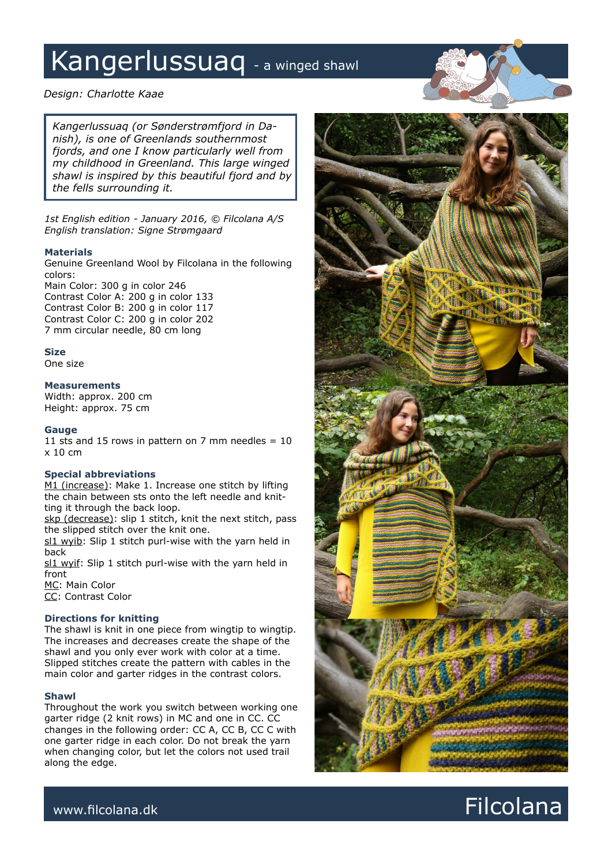# Kangerlussuaq - a winged shawl

*Design: Charlotte Kaae*

*Kangerlussuaq (or Sønderstrømfjord in Danish), is one of Greenlands southernmost fjords, and one I know particularly well from my childhood in Greenland. This large winged shawl is inspired by this beautiful fjord and by the fells surrounding it.*

*1st English edition - January 2016, © Filcolana A/S English translation: Signe Strømgaard*

### **Materials**

Genuine Greenland Wool by Filcolana in the following colors:

Main Color: 300 g in color 246 Contrast Color A: 200 g in color 133 Contrast Color B: 200 g in color 117 Contrast Color C: 200 g in color 202 7 mm circular needle, 80 cm long

## **Size**

One size

### **Measurements**

Width: approx. 200 cm Height: approx. 75 cm

## **Gauge**

11 sts and 15 rows in pattern on 7 mm needles  $= 10$ x 10 cm

### **Special abbreviations**

M1 (increase): Make 1. Increase one stitch by lifting the chain between sts onto the left needle and knitting it through the back loop.

skp (decrease): slip 1 stitch, knit the next stitch, pass the slipped stitch over the knit one.

sl1 wyib: Slip 1 stitch purl-wise with the yarn held in back

sl1 wyif: Slip 1 stitch purl-wise with the yarn held in front

MC: Main Color CC: Contrast Color

## **Directions for knitting**

The shawl is knit in one piece from wingtip to wingtip. The increases and decreases create the shape of the shawl and you only ever work with color at a time. Slipped stitches create the pattern with cables in the main color and garter ridges in the contrast colors.

### **Shawl**

Throughout the work you switch between working one garter ridge (2 knit rows) in MC and one in CC. CC changes in the following order: CC A, CC B, CC C with one garter ridge in each color. Do not break the yarn when changing color, but let the colors not used trail along the edge.



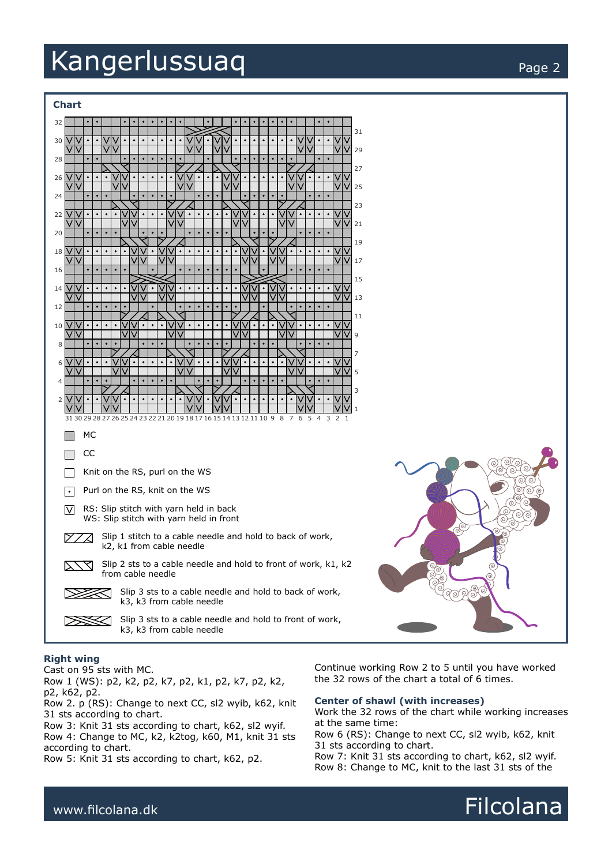## Kangerlussuaq extension of the page 2





#### **Right wing**

Cast on 95 sts with MC. Row 1 (WS): p2, k2, p2, k7, p2, k1, p2, k7, p2, k2, p2, k62, p2.

Row 2. p (RS): Change to next CC, sl2 wyib, k62, knit 31 sts according to chart.

Row 3: Knit 31 sts according to chart, k62, sl2 wyif. Row 4: Change to MC, k2, k2tog, k60, M1, knit 31 sts according to chart.

Row 5: Knit 31 sts according to chart, k62, p2.

Continue working Row 2 to 5 until you have worked the 32 rows of the chart a total of 6 times.

#### **Center of shawl (with increases)**

Work the 32 rows of the chart while working increases at the same time:

Row 6 (RS): Change to next CC, sl2 wyib, k62, knit 31 sts according to chart.

Row 7: Knit 31 sts according to chart, k62, sl2 wyif. Row 8: Change to MC, knit to the last 31 sts of the